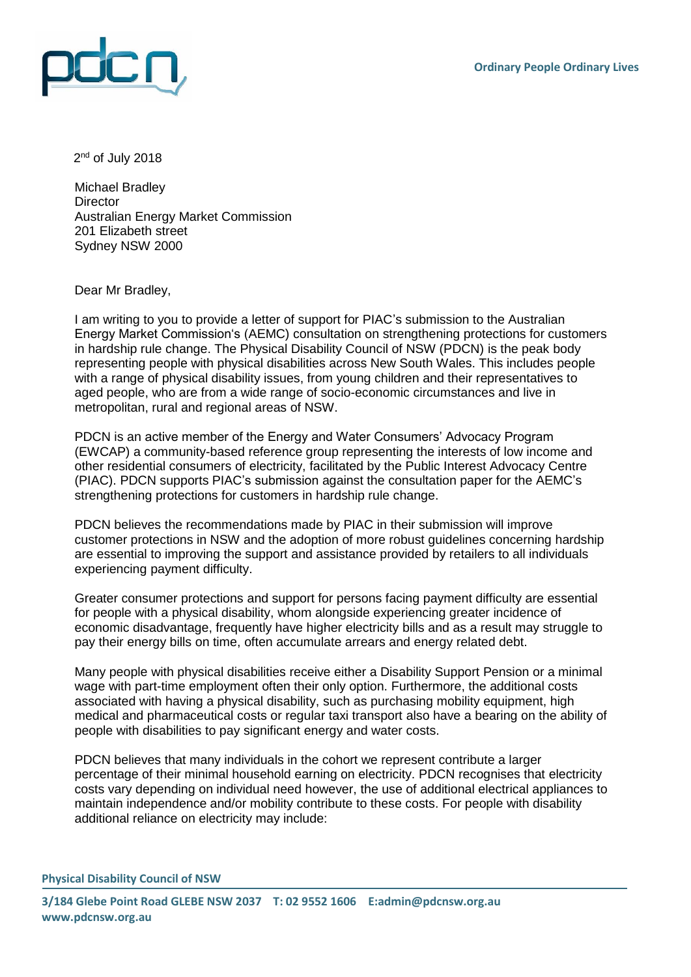

2<sup>nd</sup> of July 2018

Michael Bradley **Director** Australian Energy Market Commission 201 Elizabeth street Sydney NSW 2000

Dear Mr Bradley,

I am writing to you to provide a letter of support for PIAC's submission to the Australian Energy Market Commission's (AEMC) consultation on strengthening protections for customers in hardship rule change. The Physical Disability Council of NSW (PDCN) is the peak body representing people with physical disabilities across New South Wales. This includes people with a range of physical disability issues, from young children and their representatives to aged people, who are from a wide range of socio-economic circumstances and live in metropolitan, rural and regional areas of NSW.

PDCN is an active member of the Energy and Water Consumers' Advocacy Program (EWCAP) a community-based reference group representing the interests of low income and other residential consumers of electricity, facilitated by the Public Interest Advocacy Centre (PIAC). PDCN supports PIAC's submission against the consultation paper for the AEMC's strengthening protections for customers in hardship rule change.

PDCN believes the recommendations made by PIAC in their submission will improve customer protections in NSW and the adoption of more robust guidelines concerning hardship are essential to improving the support and assistance provided by retailers to all individuals experiencing payment difficulty.

Greater consumer protections and support for persons facing payment difficulty are essential for people with a physical disability, whom alongside experiencing greater incidence of economic disadvantage, frequently have higher electricity bills and as a result may struggle to pay their energy bills on time, often accumulate arrears and energy related debt.

Many people with physical disabilities receive either a Disability Support Pension or a minimal wage with part-time employment often their only option. Furthermore, the additional costs associated with having a physical disability, such as purchasing mobility equipment, high medical and pharmaceutical costs or regular taxi transport also have a bearing on the ability of people with disabilities to pay significant energy and water costs.

PDCN believes that many individuals in the cohort we represent contribute a larger percentage of their minimal household earning on electricity. PDCN recognises that electricity costs vary depending on individual need however, the use of additional electrical appliances to maintain independence and/or mobility contribute to these costs. For people with disability additional reliance on electricity may include: